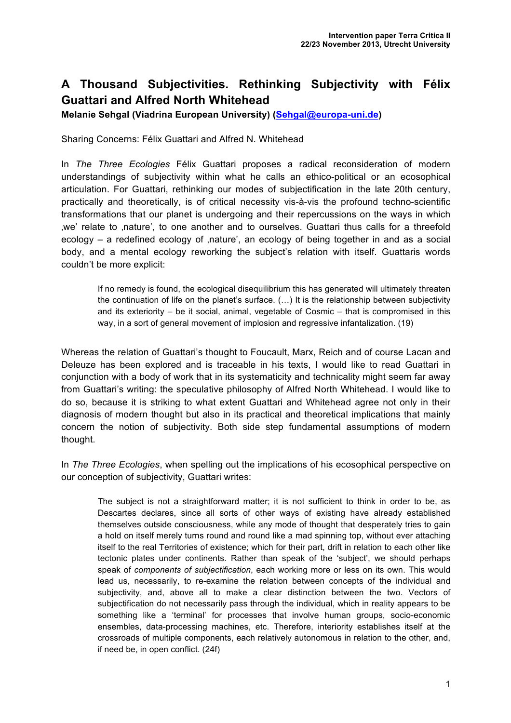## **A Thousand Subjectivities. Rethinking Subjectivity with Félix Guattari and Alfred North Whitehead**

**Melanie Sehgal (Viadrina European University) (Sehgal@europa-uni.de)**

Sharing Concerns: Félix Guattari and Alfred N. Whitehead

In *The Three Ecologies* Félix Guattari proposes a radical reconsideration of modern understandings of subjectivity within what he calls an ethico-political or an ecosophical articulation. For Guattari, rethinking our modes of subjectification in the late 20th century, practically and theoretically, is of critical necessity vis-à-vis the profound techno-scientific transformations that our planet is undergoing and their repercussions on the ways in which 'we' relate to 'nature', to one another and to ourselves. Guattari thus calls for a threefold ecology – a redefined ecology of ,nature', an ecology of being together in and as a social body, and a mental ecology reworking the subject's relation with itself. Guattaris words couldn't be more explicit:

If no remedy is found, the ecological disequilibrium this has generated will ultimately threaten the continuation of life on the planet's surface. (…) It is the relationship between subjectivity and its exteriority – be it social, animal, vegetable of Cosmic – that is compromised in this way, in a sort of general movement of implosion and regressive infantalization. (19)

Whereas the relation of Guattari's thought to Foucault, Marx, Reich and of course Lacan and Deleuze has been explored and is traceable in his texts, I would like to read Guattari in conjunction with a body of work that in its systematicity and technicality might seem far away from Guattari's writing: the speculative philosophy of Alfred North Whitehead. I would like to do so, because it is striking to what extent Guattari and Whitehead agree not only in their diagnosis of modern thought but also in its practical and theoretical implications that mainly concern the notion of subjectivity. Both side step fundamental assumptions of modern thought.

In *The Three Ecologies*, when spelling out the implications of his ecosophical perspective on our conception of subjectivity, Guattari writes:

The subject is not a straightforward matter; it is not sufficient to think in order to be, as Descartes declares, since all sorts of other ways of existing have already established themselves outside consciousness, while any mode of thought that desperately tries to gain a hold on itself merely turns round and round like a mad spinning top, without ever attaching itself to the real Territories of existence; which for their part, drift in relation to each other like tectonic plates under continents. Rather than speak of the 'subject', we should perhaps speak of *components of subjectification*, each working more or less on its own. This would lead us, necessarily, to re-examine the relation between concepts of the individual and subjectivity, and, above all to make a clear distinction between the two. Vectors of subjectification do not necessarily pass through the individual, which in reality appears to be something like a 'terminal' for processes that involve human groups, socio-economic ensembles, data-processing machines, etc. Therefore, interiority establishes itself at the crossroads of multiple components, each relatively autonomous in relation to the other, and, if need be, in open conflict. (24f)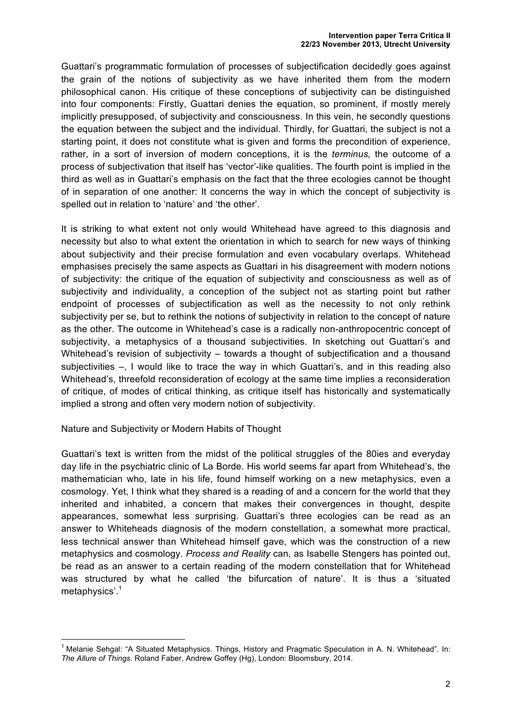Guattari's programmatic formulation of processes of subjectification decidedly goes against the grain of the notions of subjectivity as we have inherited them from the modern philosophical canon. His critique of these conceptions of subjectivity can be distinguished into four components: Firstly, Guattari denies the equation, so prominent, if mostly merely implicitly presupposed, of subjectivity and consciousness. In this vein, he secondly questions the equation between the subject and the individual. Thirdly, for Guattari, the subject is not a starting point, it does not constitute what is given and forms the precondition of experience, rather, in a sort of inversion of modern conceptions, it is the *terminus,* the outcome of a process of subjectivation that itself has 'vector'-like qualities. The fourth point is implied in the third as well as in Guattari's emphasis on the fact that the three ecologies cannot be thought of in separation of one another: It concerns the way in which the concept of subjectivity is spelled out in relation to 'nature' and 'the other'.

It is striking to what extent not only would Whitehead have agreed to this diagnosis and necessity but also to what extent the orientation in which to search for new ways of thinking about subjectivity and their precise formulation and even vocabulary overlaps. Whitehead emphasises precisely the same aspects as Guattari in his disagreement with modern notions of subjectivity: the critique of the equation of subjectivity and consciousness as well as of subjectivity and individuality, a conception of the subject not as starting point but rather endpoint of processes of subjectification as well as the necessity to not only rethink subjectivity per se, but to rethink the notions of subjectivity in relation to the concept of nature as the other. The outcome in Whitehead's case is a radically non-anthropocentric concept of subjectivity, a metaphysics of a thousand subjectivities. In sketching out Guattari's and Whitehead's revision of subjectivity – towards a thought of subjectification and a thousand subjectivities –, I would like to trace the way in which Guattari's, and in this reading also Whitehead's, threefold reconsideration of ecology at the same time implies a reconsideration of critique, of modes of critical thinking, as critique itself has historically and systematically implied a strong and often very modern notion of subjectivity.

## Nature and Subjectivity or Modern Habits of Thought

Guattari's text is written from the midst of the political struggles of the 80ies and everyday day life in the psychiatric clinic of La Borde. His world seems far apart from Whitehead's, the mathematician who, late in his life, found himself working on a new metaphysics, even a cosmology. Yet, I think what they shared is a reading of and a concern for the world that they inherited and inhabited, a concern that makes their convergences in thought, despite appearances, somewhat less surprising. Guattari's three ecologies can be read as an answer to Whiteheads diagnosis of the modern constellation, a somewhat more practical, less technical answer than Whitehead himself gave, which was the construction of a new metaphysics and cosmology. *Process and Reality* can, as Isabelle Stengers has pointed out, be read as an answer to a certain reading of the modern constellation that for Whitehead was structured by what he called 'the bifurcation of nature'. It is thus a 'situated metaphysics'.<sup>1</sup>

<sup>&</sup>lt;sup>1</sup> Melanie Sehgal: "A Situated Metaphysics. Things, History and Pragmatic Speculation in A. N. Whitehead". In: *The Allure of Things.* Roland Faber, Andrew Goffey (Hg), London: Bloomsbury, 2014.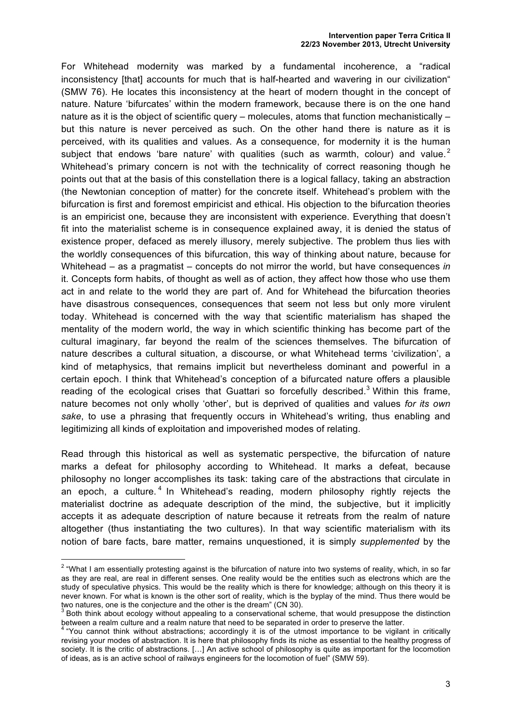## **Intervention paper Terra Critica II 22/23 November 2013, Utrecht University**

For Whitehead modernity was marked by a fundamental incoherence, a "radical inconsistency [that] accounts for much that is half-hearted and wavering in our civilization" (SMW 76). He locates this inconsistency at the heart of modern thought in the concept of nature. Nature 'bifurcates' within the modern framework, because there is on the one hand nature as it is the object of scientific query – molecules, atoms that function mechanistically – but this nature is never perceived as such. On the other hand there is nature as it is perceived, with its qualities and values. As a consequence, for modernity it is the human subject that endows 'bare nature' with qualities (such as warmth, colour) and value. $2$ Whitehead's primary concern is not with the technicality of correct reasoning though he points out that at the basis of this constellation there is a logical fallacy, taking an abstraction (the Newtonian conception of matter) for the concrete itself. Whitehead's problem with the bifurcation is first and foremost empiricist and ethical. His objection to the bifurcation theories is an empiricist one, because they are inconsistent with experience. Everything that doesn't fit into the materialist scheme is in consequence explained away, it is denied the status of existence proper, defaced as merely illusory, merely subjective. The problem thus lies with the worldly consequences of this bifurcation, this way of thinking about nature, because for Whitehead – as a pragmatist – concepts do not mirror the world, but have consequences *in* it. Concepts form habits, of thought as well as of action, they affect how those who use them act in and relate to the world they are part of. And for Whitehead the bifurcation theories have disastrous consequences, consequences that seem not less but only more virulent today. Whitehead is concerned with the way that scientific materialism has shaped the mentality of the modern world, the way in which scientific thinking has become part of the cultural imaginary, far beyond the realm of the sciences themselves. The bifurcation of nature describes a cultural situation, a discourse, or what Whitehead terms 'civilization', a kind of metaphysics, that remains implicit but nevertheless dominant and powerful in a certain epoch. I think that Whitehead's conception of a bifurcated nature offers a plausible reading of the ecological crises that Guattari so forcefully described.<sup>3</sup> Within this frame, nature becomes not only wholly 'other', but is deprived of qualities and values *for its own sake*, to use a phrasing that frequently occurs in Whitehead's writing, thus enabling and legitimizing all kinds of exploitation and impoverished modes of relating.

Read through this historical as well as systematic perspective, the bifurcation of nature marks a defeat for philosophy according to Whitehead. It marks a defeat, because philosophy no longer accomplishes its task: taking care of the abstractions that circulate in an epoch, a culture.<sup>4</sup> In Whitehead's reading, modern philosophy rightly rejects the materialist doctrine as adequate description of the mind, the subjective, but it implicitly accepts it as adequate description of nature because it retreats from the realm of nature altogether (thus instantiating the two cultures). In that way scientific materialism with its notion of bare facts, bare matter, remains unquestioned, it is simply *supplemented* by the

<sup>&</sup>lt;sup>2</sup> "What I am essentially protesting against is the bifurcation of nature into two systems of reality, which, in so far as they are real, are real in different senses. One reality would be the entities such as electrons which are the study of speculative physics. This would be the reality which is there for knowledge; although on this theory it is never known. For what is known is the other sort of reality, which is the byplay of the mind. Thus there would be two natures, one is the conjecture and the other is the dream" (CN 30).

Both think about ecology without appealing to a conservational scheme, that would presuppose the distinction between a realm culture and a realm nature that need to be separated in order to preserve the latter.

 $4$  "You cannot think without abstractions; accordingly it is of the utmost importance to be vigilant in critically revising your modes of abstraction. It is here that philosophy finds its niche as essential to the healthy progress of society. It is the critic of abstractions. [...] An active school of philosophy is quite as important for the locomotion of ideas, as is an active school of railways engineers for the locomotion of fuel" (SMW 59).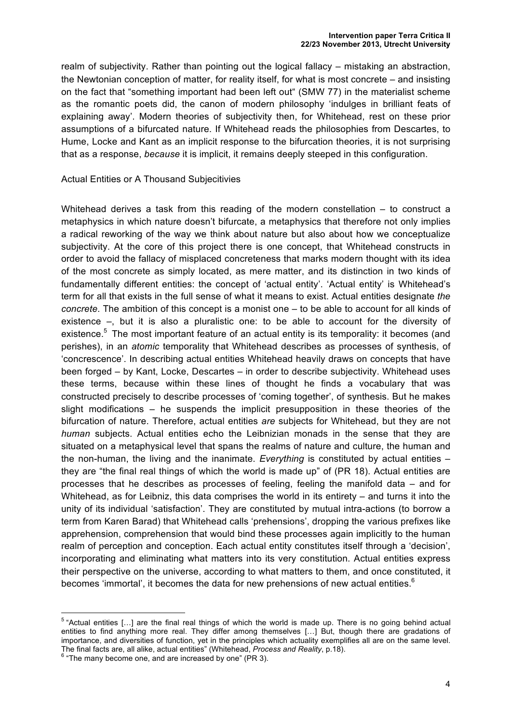realm of subjectivity. Rather than pointing out the logical fallacy – mistaking an abstraction, the Newtonian conception of matter, for reality itself, for what is most concrete – and insisting on the fact that "something important had been left out" (SMW 77) in the materialist scheme as the romantic poets did, the canon of modern philosophy 'indulges in brilliant feats of explaining away'. Modern theories of subjectivity then, for Whitehead, rest on these prior assumptions of a bifurcated nature. If Whitehead reads the philosophies from Descartes, to Hume, Locke and Kant as an implicit response to the bifurcation theories, it is not surprising that as a response, *because* it is implicit, it remains deeply steeped in this configuration.

## Actual Entities or A Thousand Subjecitivies

Whitehead derives a task from this reading of the modern constellation – to construct a metaphysics in which nature doesn't bifurcate, a metaphysics that therefore not only implies a radical reworking of the way we think about nature but also about how we conceptualize subjectivity. At the core of this project there is one concept, that Whitehead constructs in order to avoid the fallacy of misplaced concreteness that marks modern thought with its idea of the most concrete as simply located, as mere matter, and its distinction in two kinds of fundamentally different entities: the concept of 'actual entity'. 'Actual entity' is Whitehead's term for all that exists in the full sense of what it means to exist. Actual entities designate *the concrete*. The ambition of this concept is a monist one – to be able to account for all kinds of existence –, but it is also a pluralistic one: to be able to account for the diversity of existence.<sup>5</sup> The most important feature of an actual entity is its temporality: it becomes (and perishes), in an *atomic* temporality that Whitehead describes as processes of synthesis, of 'concrescence'. In describing actual entities Whitehead heavily draws on concepts that have been forged – by Kant, Locke, Descartes – in order to describe subjectivity. Whitehead uses these terms, because within these lines of thought he finds a vocabulary that was constructed precisely to describe processes of 'coming together', of synthesis. But he makes slight modifications – he suspends the implicit presupposition in these theories of the bifurcation of nature. Therefore, actual entities *are* subjects for Whitehead, but they are not *human* subjects. Actual entities echo the Leibnizian monads in the sense that they are situated on a metaphysical level that spans the realms of nature and culture, the human and the non-human, the living and the inanimate. *Everything* is constituted by actual entities – they are "the final real things of which the world is made up" of (PR 18). Actual entities are processes that he describes as processes of feeling, feeling the manifold data – and for Whitehead, as for Leibniz, this data comprises the world in its entirety – and turns it into the unity of its individual 'satisfaction'. They are constituted by mutual intra-actions (to borrow a term from Karen Barad) that Whitehead calls 'prehensions', dropping the various prefixes like apprehension, comprehension that would bind these processes again implicitly to the human realm of perception and conception. Each actual entity constitutes itself through a 'decision', incorporating and eliminating what matters into its very constitution. Actual entities express their perspective on the universe, according to what matters to them, and once constituted, it becomes 'immortal', it becomes the data for new prehensions of new actual entities. $6$ 

<sup>5</sup> "Actual entities […] are the final real things of which the world is made up. There is no going behind actual entities to find anything more real. They differ among themselves […] But, though there are gradations of importance, and diversities of function, yet in the principles which actuality exemplifies all are on the same level. The final facts are, all alike, actual entities" (Whitehead, *Process and Reality*, p.18). <sup>6</sup> "The many become one, and are increased by one" (PR 3).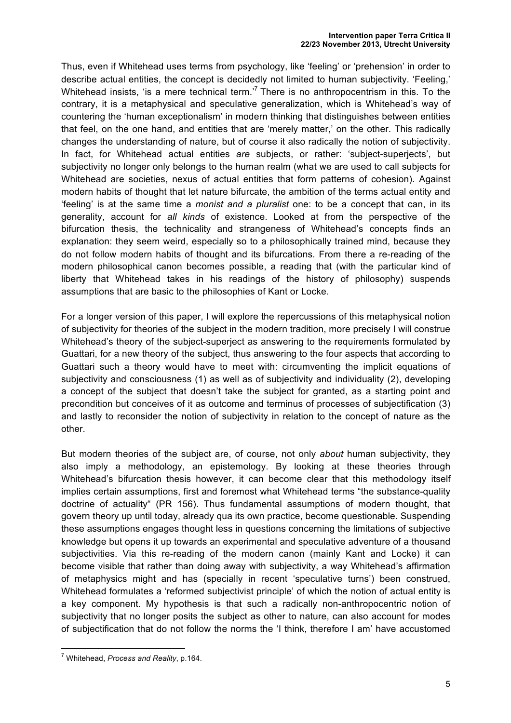Thus, even if Whitehead uses terms from psychology, like 'feeling' or 'prehension' in order to describe actual entities, the concept is decidedly not limited to human subjectivity. 'Feeling,' Whitehead insists, 'is a mere technical term.'<sup>7</sup> There is no anthropocentrism in this. To the contrary, it is a metaphysical and speculative generalization, which is Whitehead's way of countering the 'human exceptionalism' in modern thinking that distinguishes between entities that feel, on the one hand, and entities that are 'merely matter,' on the other. This radically changes the understanding of nature, but of course it also radically the notion of subjectivity. In fact, for Whitehead actual entities are subjects, or rather: 'subject-superjects', but subjectivity no longer only belongs to the human realm (what we are used to call subjects for Whitehead are societies, nexus of actual entities that form patterns of cohesion). Against modern habits of thought that let nature bifurcate, the ambition of the terms actual entity and 'feeling' is at the same time a *monist and a pluralist* one: to be a concept that can, in its generality, account for *all kinds* of existence. Looked at from the perspective of the bifurcation thesis, the technicality and strangeness of Whitehead's concepts finds an explanation: they seem weird, especially so to a philosophically trained mind, because they do not follow modern habits of thought and its bifurcations. From there a re-reading of the modern philosophical canon becomes possible, a reading that (with the particular kind of liberty that Whitehead takes in his readings of the history of philosophy) suspends assumptions that are basic to the philosophies of Kant or Locke.

For a longer version of this paper, I will explore the repercussions of this metaphysical notion of subjectivity for theories of the subject in the modern tradition, more precisely I will construe Whitehead's theory of the subject-superject as answering to the requirements formulated by Guattari, for a new theory of the subject, thus answering to the four aspects that according to Guattari such a theory would have to meet with: circumventing the implicit equations of subjectivity and consciousness (1) as well as of subjectivity and individuality (2), developing a concept of the subject that doesn't take the subject for granted, as a starting point and precondition but conceives of it as outcome and terminus of processes of subjectification (3) and lastly to reconsider the notion of subjectivity in relation to the concept of nature as the other.

But modern theories of the subject are, of course, not only *about* human subjectivity, they also imply a methodology, an epistemology. By looking at these theories through Whitehead's bifurcation thesis however, it can become clear that this methodology itself implies certain assumptions, first and foremost what Whitehead terms "the substance-quality doctrine of actuality" (PR 156). Thus fundamental assumptions of modern thought, that govern theory up until today, already qua its own practice, become questionable. Suspending these assumptions engages thought less in questions concerning the limitations of subjective knowledge but opens it up towards an experimental and speculative adventure of a thousand subjectivities. Via this re-reading of the modern canon (mainly Kant and Locke) it can become visible that rather than doing away with subjectivity, a way Whitehead's affirmation of metaphysics might and has (specially in recent 'speculative turns') been construed, Whitehead formulates a 'reformed subjectivist principle' of which the notion of actual entity is a key component. My hypothesis is that such a radically non-anthropocentric notion of subjectivity that no longer posits the subject as other to nature, can also account for modes of subjectification that do not follow the norms the 'I think, therefore I am' have accustomed

<sup>7</sup> Whitehead, *Process and Reality*, p.164.